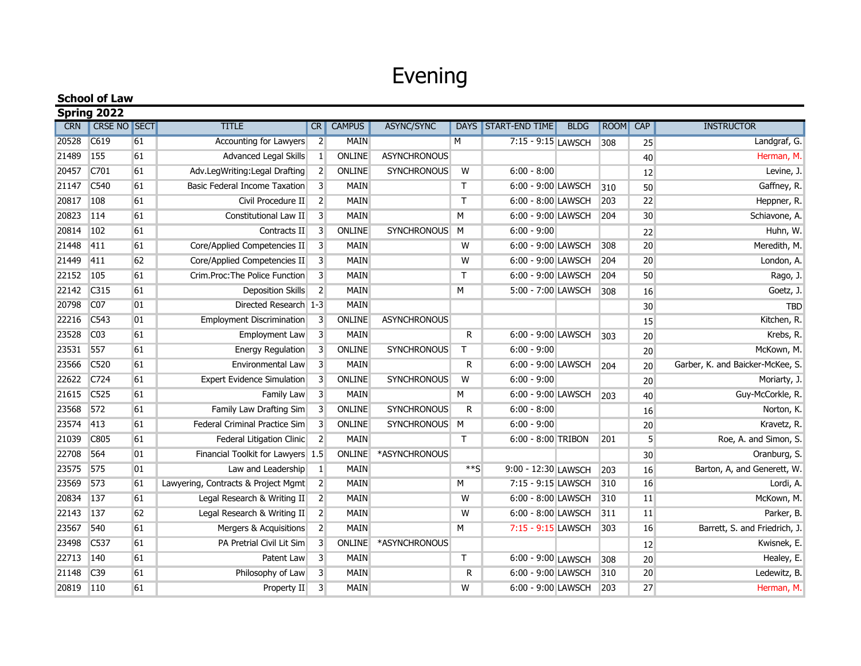## Evening

| <b>School of Law</b> |                 |    |                                      |                |               |                     |                         |                       |             |      |                 |                                  |
|----------------------|-----------------|----|--------------------------------------|----------------|---------------|---------------------|-------------------------|-----------------------|-------------|------|-----------------|----------------------------------|
| Spring 2022          |                 |    |                                      |                |               |                     |                         |                       |             |      |                 |                                  |
| <b>CRN</b>           | CRSE NO SECT    |    | <b>TITLE</b>                         | <b>CR</b>      | <b>CAMPUS</b> | <b>ASYNC/SYNC</b>   | <b>DAYS</b>             | <b>START-END TIME</b> | <b>BLDG</b> | ROOM | CAP             | <b>INSTRUCTOR</b>                |
| 20528                | C619            | 61 | Accounting for Lawyers               | $\overline{2}$ | <b>MAIN</b>   |                     | M                       | 7:15 - 9:15 LAWSCH    |             | 308  | 25              | Landgraf, G.                     |
| 21489                | 155             | 61 | <b>Advanced Legal Skills</b>         | 1              | <b>ONLINE</b> | <b>ASYNCHRONOUS</b> |                         |                       |             |      | 40              | Herman, M.                       |
| 20457                | C701            | 61 | Adv.LegWriting:Legal Drafting        | $\overline{2}$ | ONLINE        | <b>SYNCHRONOUS</b>  | $\overline{\mathsf{W}}$ | $6:00 - 8:00$         |             |      | 12              | Levine, J.                       |
| 21147                | C540            | 61 | <b>Basic Federal Income Taxation</b> | $\overline{3}$ | <b>MAIN</b>   |                     | T                       | 6:00 - 9:00 LAWSCH    |             | 310  | 50              | Gaffney, R.                      |
| 20817                | 108             | 61 | Civil Procedure II                   | $\overline{2}$ | <b>MAIN</b>   |                     | T                       | 6:00 - 8:00 LAWSCH    |             | 203  | 22              | Heppner, R.                      |
| 20823                | 114             | 61 | Constitutional Law II                | $\overline{3}$ | <b>MAIN</b>   |                     | M                       | 6:00 - 9:00 LAWSCH    |             | 204  | 30              | Schiavone, A.                    |
| 20814                | 102             | 61 | Contracts II                         | $\overline{3}$ | <b>ONLINE</b> | SYNCHRONOUS M       |                         | $6:00 - 9:00$         |             |      | 22              | Huhn, W.                         |
| 21448                | 411             | 61 | Core/Applied Competencies II         | $\overline{3}$ | <b>MAIN</b>   |                     | W                       | 6:00 - 9:00 LAWSCH    |             | 308  | 20              | Meredith, M.                     |
| 21449                | 411             | 62 | Core/Applied Competencies II         | $\lceil$       | <b>MAIN</b>   |                     | W                       | 6:00 - 9:00 LAWSCH    |             | 204  | 20              | London, A.                       |
| 22152                | 105             | 61 | Crim.Proc: The Police Function       | $\overline{3}$ | <b>MAIN</b>   |                     | T.                      | 6:00 - 9:00 LAWSCH    |             | 204  | 50              | Rago, J.                         |
| 22142                | C315            | 61 | <b>Deposition Skills</b>             | $\overline{2}$ | <b>MAIN</b>   |                     | M                       | 5:00 - 7:00 LAWSCH    |             | 308  | 16              | Goetz, J.                        |
| 20798                | C <sub>07</sub> | 01 | Directed Research 1-3                |                | <b>MAIN</b>   |                     |                         |                       |             |      | 30              | <b>TBD</b>                       |
| 22216                | C543            | 01 | <b>Employment Discrimination</b>     | $\overline{3}$ | ONLINE        | <b>ASYNCHRONOUS</b> |                         |                       |             |      | 15              | Kitchen, R.                      |
| 23528                | CO <sub>3</sub> | 61 | Employment Law                       | $\overline{3}$ | MAIN          |                     | R                       | 6:00 - 9:00 LAWSCH    |             | 303  | 20              | Krebs, R.                        |
| 23531                | 557             | 61 | <b>Energy Regulation</b>             | 3              | <b>ONLINE</b> | <b>SYNCHRONOUS</b>  | Τ                       | $6:00 - 9:00$         |             |      | 20              | McKown, M.                       |
| 23566                | C520            | 61 | Environmental Law                    | $\overline{3}$ | <b>MAIN</b>   |                     | R                       | 6:00 - 9:00 LAWSCH    |             | 204  | 20              | Garber, K. and Baicker-McKee, S. |
| 22622                | C724            | 61 | <b>Expert Evidence Simulation</b>    | $\overline{3}$ | ONLINE        | <b>SYNCHRONOUS</b>  | W                       | $6:00 - 9:00$         |             |      | 20              | Moriarty, J.                     |
| 21615                | C525            | 61 | Family Law                           | $\overline{3}$ | <b>MAIN</b>   |                     | M                       | 6:00 - 9:00 LAWSCH    |             | 203  | 40              | Guy-McCorkle, R.                 |
| 23568                | 572             | 61 | Family Law Drafting Sim              | 3              | ONLINE        | <b>SYNCHRONOUS</b>  | R                       | $6:00 - 8:00$         |             |      | 16              | Norton, K.                       |
| 23574                | 413             | 61 | Federal Criminal Practice Sim        | $\overline{3}$ | <b>ONLINE</b> | SYNCHRONOUS M       |                         | $6:00 - 9:00$         |             |      | 20              | Kravetz, R.                      |
| 21039                | C805            | 61 | Federal Litigation Clinic            | $\overline{2}$ | <b>MAIN</b>   |                     | T.                      | 6:00 - 8:00 TRIBON    |             | 201  | $5\overline{5}$ | Roe, A. and Simon, S.            |
| 22708                | 564             | 01 | Financial Toolkit for Lawyers 1.5    |                | ONLINE        | *ASYNCHRONOUS       |                         |                       |             |      | 30              | Oranburg, S.                     |
| 23575                | 575             | 01 | Law and Leadership                   | $\vert$ 1      | <b>MAIN</b>   |                     | $**S$                   | 9:00 - 12:30 LAWSCH   |             | 203  | 16              | Barton, A, and Generett, W.      |
| 23569                | 573             | 61 | Lawyering, Contracts & Project Mgmt  | $\overline{2}$ | <b>MAIN</b>   |                     | M                       | 7:15 - 9:15 LAWSCH    |             | 310  | 16              | Lordi, A.                        |
| 20834                | 137             | 61 | Legal Research & Writing II          | $\overline{2}$ | <b>MAIN</b>   |                     | W                       | 6:00 - 8:00 LAWSCH    |             | 310  | 11              | McKown, M.                       |
| 22143                | 137             | 62 | Legal Research & Writing II          | $\overline{2}$ | <b>MAIN</b>   |                     | W                       | 6:00 - 8:00 LAWSCH    |             | 311  | 11              | Parker, B.                       |
| 23567                | 540             | 61 | Mergers & Acquisitions               | $\overline{2}$ | <b>MAIN</b>   |                     | M                       | 7:15 - 9:15 LAWSCH    |             | 303  | 16              | Barrett, S. and Friedrich, J.    |
| 23498                | C537            | 61 | PA Pretrial Civil Lit Sim            | 3              | <b>ONLINE</b> | *ASYNCHRONOUS       |                         |                       |             |      | 12              | Kwisnek, E.                      |
| 22713                | 140             | 61 | <b>Patent Law</b>                    | $\overline{3}$ | <b>MAIN</b>   |                     | Τ                       | 6:00 - 9:00 LAWSCH    |             | 308  | 20              | Healey, E.                       |
| 21148                | C <sub>39</sub> | 61 | Philosophy of Law                    | $\overline{3}$ | <b>MAIN</b>   |                     | R                       | 6:00 - 9:00 LAWSCH    |             | 310  | 20              | Ledewitz, B.                     |
| 20819 110            |                 | 61 | Property II                          | $\overline{3}$ | <b>MAIN</b>   |                     | W                       | 6:00 - 9:00 LAWSCH    |             | 203  | 27              | Herman, M.                       |